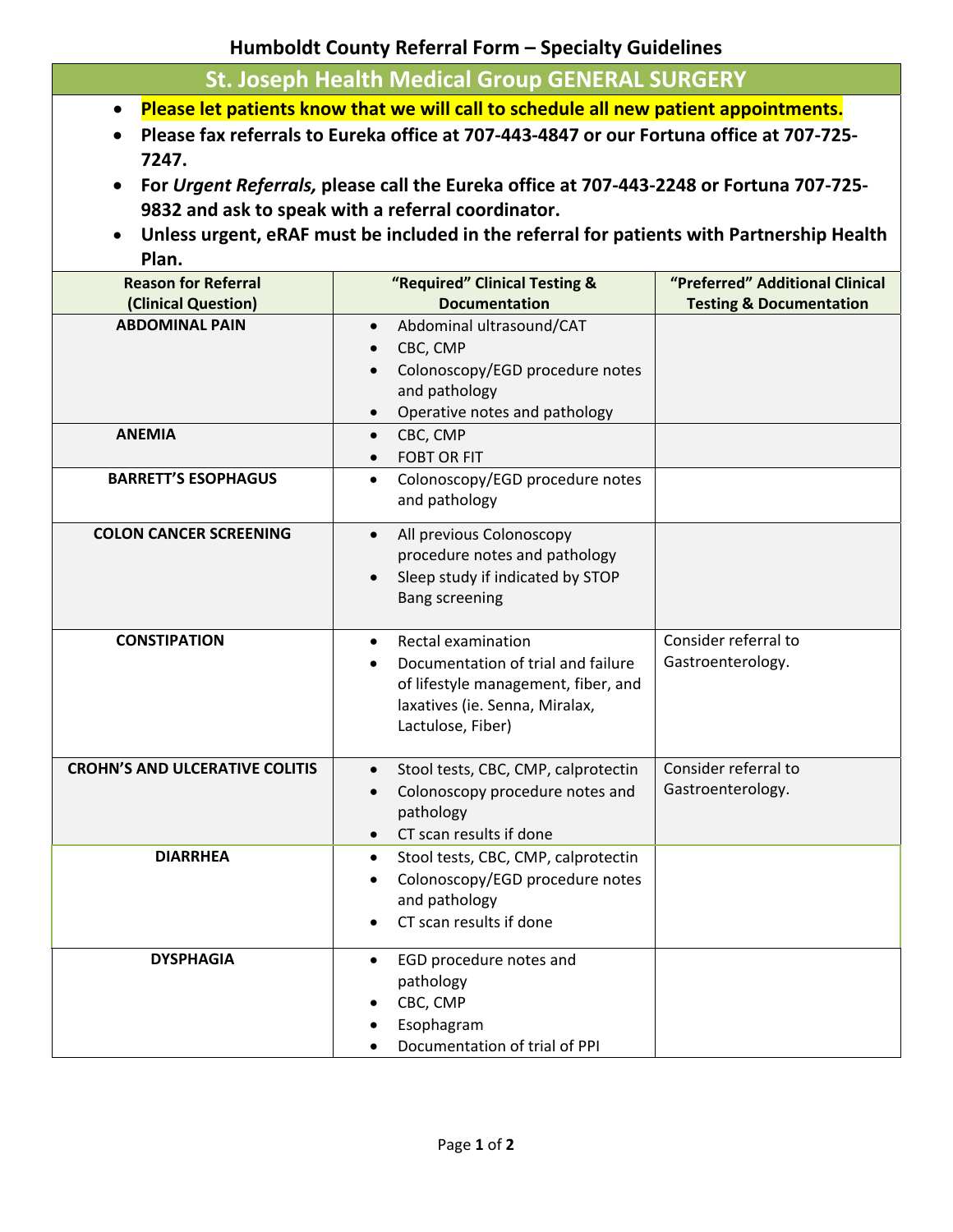**Humboldt County Referral Form – Specialty Guidelines**

| <b>St. Joseph Health Medical Group GENERAL SURGERY</b> |  |
|--------------------------------------------------------|--|
|--------------------------------------------------------|--|

- **Please let patients know that we will call to schedule all new patient appointments.**
- Please fax referrals to Eureka office at 707-443-4847 or our Fortuna office at 707-725-**7247.**
- For Urgent Referrals, please call the Eureka office at 707-443-2248 or Fortuna 707-725-**9832 and ask to speak with a referral coordinator.**
- **Unless urgent, eRAF must be included in the referral for patients with Partnership Health Plan.**

| <b>Reason for Referral</b>            | "Required" Clinical Testing &                                                                                                                                       | "Preferred" Additional Clinical           |
|---------------------------------------|---------------------------------------------------------------------------------------------------------------------------------------------------------------------|-------------------------------------------|
| (Clinical Question)                   | <b>Documentation</b>                                                                                                                                                | <b>Testing &amp; Documentation</b>        |
| <b>ABDOMINAL PAIN</b>                 | Abdominal ultrasound/CAT<br>$\bullet$<br>CBC, CMP<br>$\bullet$<br>Colonoscopy/EGD procedure notes<br>and pathology<br>Operative notes and pathology                 |                                           |
| <b>ANEMIA</b>                         | CBC, CMP<br>$\bullet$<br><b>FOBT OR FIT</b><br>$\bullet$                                                                                                            |                                           |
| <b>BARRETT'S ESOPHAGUS</b>            | Colonoscopy/EGD procedure notes<br>$\bullet$<br>and pathology                                                                                                       |                                           |
| <b>COLON CANCER SCREENING</b>         | All previous Colonoscopy<br>$\bullet$<br>procedure notes and pathology<br>Sleep study if indicated by STOP<br>$\bullet$<br><b>Bang screening</b>                    |                                           |
| <b>CONSTIPATION</b>                   | Rectal examination<br>$\bullet$<br>Documentation of trial and failure<br>of lifestyle management, fiber, and<br>laxatives (ie. Senna, Miralax,<br>Lactulose, Fiber) | Consider referral to<br>Gastroenterology. |
| <b>CROHN'S AND ULCERATIVE COLITIS</b> | Stool tests, CBC, CMP, calprotectin<br>$\bullet$<br>Colonoscopy procedure notes and<br>$\bullet$<br>pathology<br>CT scan results if done                            | Consider referral to<br>Gastroenterology. |
| <b>DIARRHEA</b>                       | Stool tests, CBC, CMP, calprotectin<br>$\bullet$<br>Colonoscopy/EGD procedure notes<br>and pathology<br>CT scan results if done                                     |                                           |
| <b>DYSPHAGIA</b>                      | EGD procedure notes and<br>$\bullet$<br>pathology<br>CBC, CMP<br>Esophagram<br>Documentation of trial of PPI                                                        |                                           |